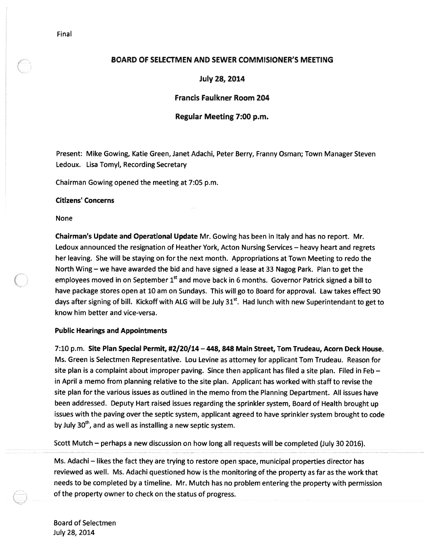# BOARD OF SELECTMEN AND SEWER COMMISIONER'S MEETING

July 28, 2014

# Francis Faulkner Room 204

### Regular Meeting 7:00 p.m.

Present: Mike Gowing, Katie Green, Janet Adachi, Peter Berry, Franny Osman; Town Manager Steven Ledoux. Lisa Tomyl, Recording Secretary

Chairman Gowing opened the meeting at 7:05 p.m.

#### Citizens' Concerns

None

Chairman's Update and Operational Update Mr. Gowing has been in Italy and has no report. Mr. Ledoux announced the resignation of Heather York, Acton Nursing Services — heavy heart and regrets her leaving. She will be staying on for the next month. Appropriations at Town Meeting to redo the North Wing — we have awarded the bid and have signed <sup>a</sup> lease at 33 Nagog Park. Plan to ge<sup>t</sup> the employees moved in on September  $1<sup>st</sup>$  and move back in 6 months. Governor Patrick signed a bill to have package stores open at 10 am on Sundays. This will go to Board for approval. Law takes effect 90 days after signing of bill. Kickoff with ALG will be July  $31<sup>st</sup>$ . Had lunch with new Superintendant to get to know him better and vice-versa.

### Public Hearings and Appointments

7:10 p.m. Site Plan Special Permit, #2/20/14 — 448, 848 Main Street, Tom Trudeau, Acorn Deck House. Ms. Green is Selectmen Representative. Lou Levine as attorney for applicant Tom Trudeau. Reason for site <sup>p</sup>lan is <sup>a</sup> complaint about improper paving. Since then applicant has filed <sup>a</sup> site <sup>p</sup>lan. Filed in Feb in April <sup>a</sup> memo from planning relative to the site plan. Applicant has worked with staff to revise the site <sup>p</sup>lan for the various issues as outlined in the memo from the Planning Department. All issues have been addressed. Deputy Hart raised issues regarding the sprinkler system, Board of Health brought up issues with the paving over the septic system, applicant agreed to have sprinkler system brought to code by July 30<sup>th</sup>, and as well as installing a new septic system.

Scott Mutch — perhaps <sup>a</sup> new discussion on how long all requests will be completed (July 30 2016).

Ms. Adachi — likes the fact they are trying to restore open space, municipal properties director has reviewed as well. Ms. Adachi questioned how is the monitoring of the property as far as the work that needs to be completed by <sup>a</sup> timeline. Mr. Mutch has no problem entering the property with permission of the property owner to check on the status of progress.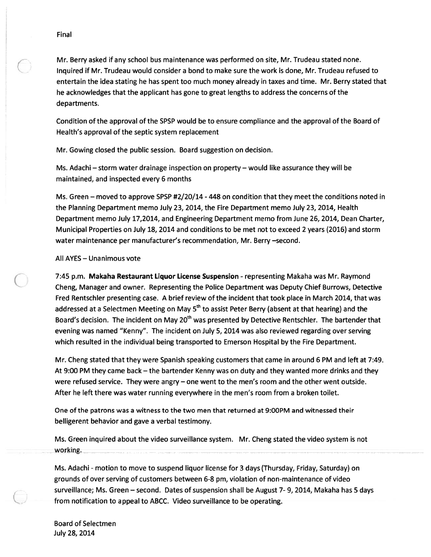Mr. Berry asked if any school bus maintenance was performed on site, Mr. Trudeau stated none. Inquired if Mr. Trudeau would consider <sup>a</sup> bond to make sure the work is done, Mr. Trudeau refused to entertain the idea stating he has spen<sup>t</sup> too much money already in taxes and time. Mr. Berry stated that he acknowledges that the applicant has gone to grea<sup>t</sup> lengths to address the concerns of the departments.

Condition of the approval of the SPSP would be to ensure compliance and the approval of the Board of Health's approval of the septic system replacement

Mr. Gowing closed the public session. Board suggestion on decision.

Ms. Adachi — storm water drainage inspection on property — would like assurance they will be maintained, and inspected every 6 months

Ms. Green — moved to approve SPSP #2/20/14 -448 on condition that they meet the conditions noted in the Planning Department memo July 23, 2014, the Fire Department memo July 23, 2014, Health Department memo July 17,2014, and Engineering Department memo from June 26, 2014, Dean Charter, Municipal Properties on July 18, 2014 and conditions to be met not to exceed 2 years (2016) and storm water maintenance per manufacturer's recommendation, Mr. Berry —second.

# All AYES — Unanimous vote

7:45 p.m. Makaha Restaurant Liquor License Suspension - representing Makaha was Mr. Raymond Cheng, Manager and owner. Representing the Police Department was Deputy Chief Burrows, Detective Fred Rentschler presenting case. A brief review of the incident that took place in March 2014, that was addressed at a Selectmen Meeting on May 5<sup>th</sup> to assist Peter Berry (absent at that hearing) and the Board's decision. The incident on May 20<sup>th</sup> was presented by Detective Rentschler. The bartender that evening was named "Kenny". The incident on July 5, 2014 was also reviewed regarding over serving which resulted in the individual being transported to Emerson Hospital by the Fire Department.

Mr. Cheng stated that they were Spanish speaking customers that came in around 6 PM and left at 7:49. At 9:00 PM they came back — the bartender Kenny was on duty and they wanted more drinks and they were refused service. They were angry — one went to the men's room and the other went outside. After he left there was water running everywhere in the men's room from <sup>a</sup> broken toilet.

One of the patrons was <sup>a</sup> witness to the two men that returned at 9:00PM and witnessed their belligerent behavior and gave <sup>a</sup> verbal testimony.

Ms. Green inquired about the video surveillance system. Mr. Cheng stated the video system is not working.

Ms. Adachi - motion to move to suspend liquor license for 3 days (Thursday, Friday, Saturday) on grounds of over serving of customers between 6-8 pm, violation of non-maintenance of video surveillance; Ms. Green — second. Dates of suspension shall be August 7- 9, 2014, Makaha has 5 days from notification to appeal to ABCC. Video surveillance to be operating.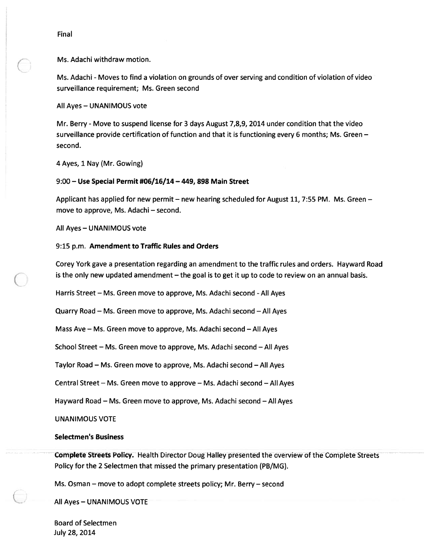Ms. Adachi withdraw motion.

Ms. Adachi - Moves to find <sup>a</sup> violation on grounds of over serving and condition of violation of video surveillance requirement; Ms. Green second

All Ayes — UNANIMOUS vote

Mr. Berry -Move to suspend license for 3 days August 7,8,9, 2014 under condition that the video surveillance provide certification of function and that it is functioning every 6 months; Ms. Green second.

4 Ayes, 1 Nay (Mr. Gowing)

### 9:00 — Use Special Permit #06/16/14 — 449, 898 Main Street

Applicant has applied for new permit — new hearing scheduled for August 11, 7:55 PM. Ms. Green move to approve, Ms. Adachi — second.

All Ayes — UNANIMOUS vote

### 9:15 p.m. Amendment to Traffic Rules and Orders

Corey York gave <sup>a</sup> presentation regarding an amendment to the traffic rules and orders. Hayward Road is the only new updated amendment — the goal is to ge<sup>t</sup> it up to code to review on an annual basis.

Harris Street – Ms. Green move to approve, Ms. Adachi second - All Ayes

Quarry Road — Ms. Green move to approve, Ms. Adachi second —All Ayes

Mass Ave — Ms. Green move to approve, Ms. Adachi second — All Ayes

School Street — Ms. Green move to approve, Ms. Adachi second — All Ayes

Taylor Road — Ms. Green move to approve, Ms. Adachi second — All Ayes

Central Street — Ms. Green move to approve — Ms. Adachi second — All Ayes

Hayward Road — Ms. Green move to approve, Ms. Adachi second — All Ayes

UNANIMOUS VOTE

### Selectmen's Business

Complete Streets Policy. Health Director Doug Halley presented the overview of the Complete Streets Policy for the 2 Selectmen that missed the primary presentation (PB/MG).

Ms. Osman — move to adopt complete streets policy; Mr. Berry — second

All Ayes — UNANIMOUS VOTE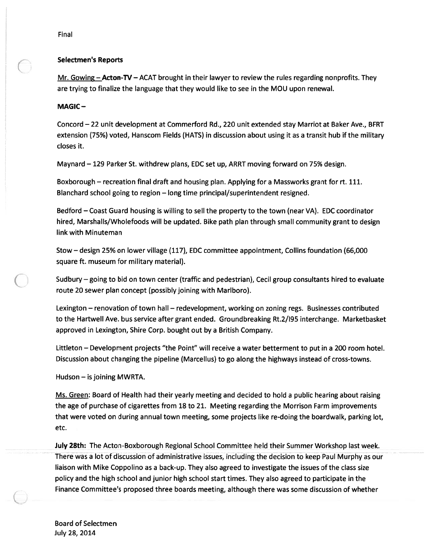# Selectmen's Reports

Mr. Gowing  $-\text{Acton-TV} - \text{ACAT brought in their lawyer to review the rules regarding nonprofits. They}$ are trying to finalize the language that they would like to see in the MOU upon renewal.

# MAGIC-

Concord —22 unit development at Commerford Rd., 220 unit extended stay Marriot at Baker Ave., BFRT extension (75%) voted, Hanscom Fields (HATS) in discussion about using it as <sup>a</sup> transit hub if the military closes it.

Maynard — 129 Parker St. withdrew plans, EDC set up, ARRT moving forward on 75% design.

Boxborough — recreation final draft and housing plan. Applying for <sup>a</sup> Massworks gran<sup>t</sup> for rt. 111. Blanchard school going to region — long time principal/superintendent resigned.

Bedford — Coast Guard housing is willing to sell the property to the town (near VA). EDC coordinator hired, Marshalls/Wholefoods will be updated. Bike path plan through small community gran<sup>t</sup> to design link with Minuteman

Stow — design 25% on lower village (117), EDC committee appointment, Collins foundation (66,000 square ft. museum for military material).

Sudbury — going to bid on town center (traffic and pedestrian), Cecil group consultants hired to evaluate route 20 sewer plan concep<sup>t</sup> (possibly joining with Marlboro).

Lexington – renovation of town hall – redevelopment, working on zoning regs. Businesses contributed to the Hartwell Ave. bus service after gran<sup>t</sup> ended. Groundbreaking Rt.2/195 interchange. Marketbasket approved in Lexington, Shire Corp. bought out by <sup>a</sup> British Company.

Littleton — Development projects "the Point" will receive <sup>a</sup> water betterment to pu<sup>t</sup> in <sup>a</sup> 200 room hotel. Discussion about changing the pipeline (Marcellus) to go along the highways instead of cross-towns.

Hudson — is joining MWRTA.

Ms. Green: Board of Health had their yearly meeting and decided to hold <sup>a</sup> public hearing about raising the age of purchase of cigarettes from 18 to 21. Meeting regarding the Morrison Farm improvements that were voted on during annual town meeting, some projects like re-doing the boardwalk, parking lot, etc.

July 28th: The Acton-Boxborough Regional School Committee held their Summer Workshop last week. There was <sup>a</sup> lot of discussion of administrative issues, including the decision to keep Paul Murphy as our liaison with Mike Coppolino as <sup>a</sup> back-up. They also agreed to investigate the issues of the class size policy and the high school and junior high school start times. They also agreed to participate in the Finance Committee's proposed three boards meeting, although there was some discussion of whether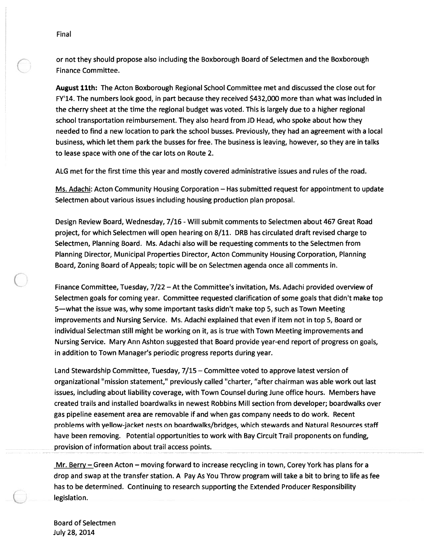or not they should propose also including the Boxborough Board of Selectmen and the Boxborough Finance Committee.

August 11th: The Acton Boxborough Regional School Committee met and discussed the close out for FY'14. The numbers look good, in par<sup>t</sup> because they received \$432,000 more than what was included in the cherry sheet at the time the regional budget was voted. This is largely due to <sup>a</sup> higher regional school transportation reimbursement. They also heard from JD Head, who spoke about how they needed to find <sup>a</sup> new location to park the school busses. Previously, they had an agreemen<sup>t</sup> with <sup>a</sup> local business, which let them park the busses for free. The business is leaving, however, so they are in talks to lease space with one of the car lots on Route 2.

ALG met for the first time this year and mostly covered administrative issues and rules of the road.

Ms. Adachi: Acton Community Housing Corporation — Has submitted reques<sup>t</sup> for appointment to update Selectmen about various issues including housing production plan proposal.

Design Review Board, Wednesday, 7/16 - Will submit comments to Selectmen about 467 Great Road project, for which Selectmen will open hearing on 8/11. DRB has circulated draft revised charge to Selectmen, Planning Board. Ms. Adachi also will be requesting comments to the Selectmen from Planning Director, Municipal Properties Director, Acton Community Housing Corporation, Planning Board, Zoning Board of Appeals; topic will be on Selectmen agenda once all comments in.

Finance Committee, Tuesday, 7/22 — At the Committee's invitation, Ms. Adachi provided overview of Selectmen goals for coming year. Committee requested clarification of some goals that didn't make top 5—what the issue was, why some important tasks didn't make top 5, such as Town Meeting improvements and Nursing Service. Ms. Adachi explained that even if item not in top 5, Board or individual Selectman still might be working on it, as is true with Town Meeting improvements and Nursing Service. Mary Ann Ashton suggested that Board provide year-end repor<sup>t</sup> of progress on goals, in addition to Town Manager's periodic progress reports during year.

Land Stewardship Committee, Tuesday, 7/15 — Committee voted to approve latest version of organizational "mission statement," previously called "charter, "after chairman was able work out last issues, including about liability coverage, with Town Counsel during June office hours. Members have created trails and installed boardwalks in newest Robbins Mill section from developer; boardwalks over gas pipeline easement area are removable if and when gas company needs to do work. Recent problems with yellow-jacket nests on boardwalks/bridges, which stewards and Natural Resources staff have been removing. Potential opportunities to work with Bay Circuit Trail proponents on funding, provision of information about trail access points.

Mr. Berry – Green Acton – moving forward to increase recycling in town, Corey York has plans for a drop and swap at the transfer station. A Pay As You Throw program will take <sup>a</sup> bit to bring to life as fee has to be determined. Continuing to research supporting the Extended Producer Responsibility legislation.